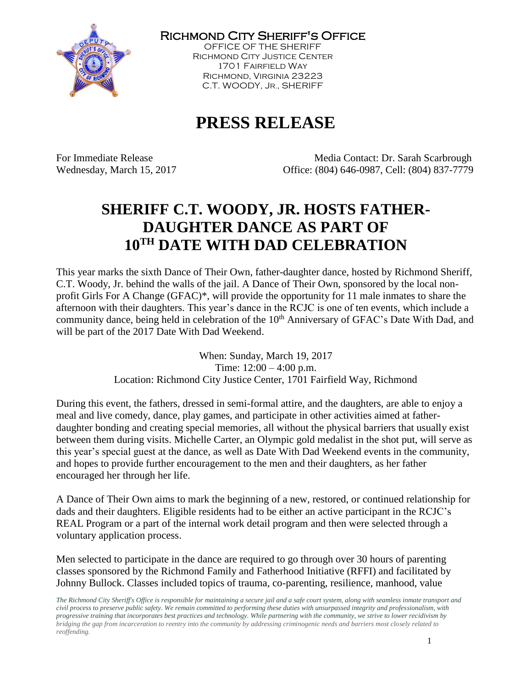

Richmond City Sheriff's Office

OFFICE OF THE SHERIFF Richmond City Justice Center 1701 Fairfield Way Richmond, Virginia 23223 C.T. WOODY, JR., SHERIFF

# **PRESS RELEASE**

For Immediate Release The Media Contact: Dr. Sarah Scarbrough Wednesday, March 15, 2017 Office: (804) 646-0987, Cell: (804) 837-7779

## **SHERIFF C.T. WOODY, JR. HOSTS FATHER-DAUGHTER DANCE AS PART OF 10TH DATE WITH DAD CELEBRATION**

This year marks the sixth Dance of Their Own, father-daughter dance, hosted by Richmond Sheriff, C.T. Woody, Jr. behind the walls of the jail. A Dance of Their Own, sponsored by the local nonprofit Girls For A Change (GFAC)\*, will provide the opportunity for 11 male inmates to share the afternoon with their daughters. This year's dance in the RCJC is one of ten events, which include a community dance, being held in celebration of the 10<sup>th</sup> Anniversary of GFAC's Date With Dad, and will be part of the 2017 Date With Dad Weekend.

> When: Sunday, March 19, 2017 Time: 12:00 – 4:00 p.m. Location: Richmond City Justice Center, 1701 Fairfield Way, Richmond

During this event, the fathers, dressed in semi-formal attire, and the daughters, are able to enjoy a meal and live comedy, dance, play games, and participate in other activities aimed at fatherdaughter bonding and creating special memories, all without the physical barriers that usually exist between them during visits. Michelle Carter, an Olympic gold medalist in the shot put, will serve as this year's special guest at the dance, as well as Date With Dad Weekend events in the community, and hopes to provide further encouragement to the men and their daughters, as her father encouraged her through her life.

A Dance of Their Own aims to mark the beginning of a new, restored, or continued relationship for dads and their daughters. Eligible residents had to be either an active participant in the RCJC's REAL Program or a part of the internal work detail program and then were selected through a voluntary application process.

Men selected to participate in the dance are required to go through over 30 hours of parenting classes sponsored by the Richmond Family and Fatherhood Initiative (RFFI) and facilitated by Johnny Bullock. Classes included topics of trauma, co-parenting, resilience, manhood, value

*The Richmond City Sheriff's Office is responsible for maintaining a secure jail and a safe court system, along with seamless inmate transport and civil process to preserve public safety. We remain committed to performing these duties with unsurpassed integrity and professionalism, with progressive training that incorporates best practices and technology. While partnering with the community, we strive to lower recidivism by bridging the gap from incarceration to reentry into the community by addressing criminogenic needs and barriers most closely related to reoffending.*